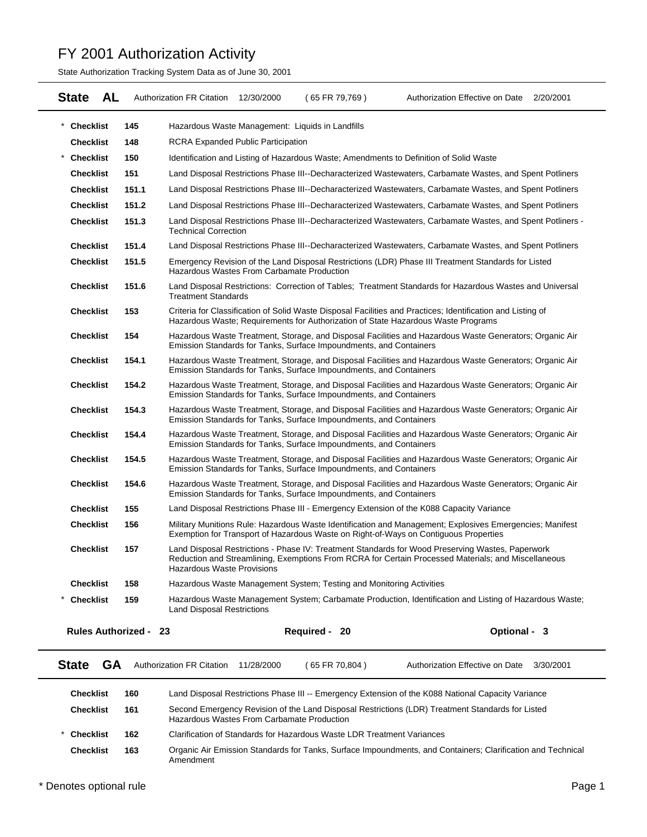State Authorization Tracking System Data as of June 30, 2001

| <b>AL</b><br><b>State</b>    | <b>Authorization FR Citation</b>                                     | 12/30/2000 | (65 FR 79,769) | Authorization Effective on Date 2/20/2001                                                                                                                                                               |  |
|------------------------------|----------------------------------------------------------------------|------------|----------------|---------------------------------------------------------------------------------------------------------------------------------------------------------------------------------------------------------|--|
| 145<br>* Checklist           | Hazardous Waste Management: Liquids in Landfills                     |            |                |                                                                                                                                                                                                         |  |
| <b>Checklist</b><br>148      | <b>RCRA Expanded Public Participation</b>                            |            |                |                                                                                                                                                                                                         |  |
| <b>Checklist</b><br>150      |                                                                      |            |                | Identification and Listing of Hazardous Waste; Amendments to Definition of Solid Waste                                                                                                                  |  |
| <b>Checklist</b><br>151      |                                                                      |            |                | Land Disposal Restrictions Phase III--Decharacterized Wastewaters, Carbamate Wastes, and Spent Potliners                                                                                                |  |
| <b>Checklist</b><br>151.1    |                                                                      |            |                | Land Disposal Restrictions Phase III--Decharacterized Wastewaters, Carbamate Wastes, and Spent Potliners                                                                                                |  |
| <b>Checklist</b><br>151.2    |                                                                      |            |                | Land Disposal Restrictions Phase III--Decharacterized Wastewaters, Carbamate Wastes, and Spent Potliners                                                                                                |  |
| <b>Checklist</b><br>151.3    | <b>Technical Correction</b>                                          |            |                | Land Disposal Restrictions Phase III--Decharacterized Wastewaters, Carbamate Wastes, and Spent Potliners -                                                                                              |  |
| <b>Checklist</b><br>151.4    |                                                                      |            |                | Land Disposal Restrictions Phase III--Decharacterized Wastewaters, Carbamate Wastes, and Spent Potliners                                                                                                |  |
| <b>Checklist</b><br>151.5    | Hazardous Wastes From Carbamate Production                           |            |                | Emergency Revision of the Land Disposal Restrictions (LDR) Phase III Treatment Standards for Listed                                                                                                     |  |
| <b>Checklist</b><br>151.6    | <b>Treatment Standards</b>                                           |            |                | Land Disposal Restrictions: Correction of Tables; Treatment Standards for Hazardous Wastes and Universal                                                                                                |  |
| <b>Checklist</b><br>153      |                                                                      |            |                | Criteria for Classification of Solid Waste Disposal Facilities and Practices; Identification and Listing of<br>Hazardous Waste; Requirements for Authorization of State Hazardous Waste Programs        |  |
| <b>Checklist</b><br>154      | Emission Standards for Tanks, Surface Impoundments, and Containers   |            |                | Hazardous Waste Treatment, Storage, and Disposal Facilities and Hazardous Waste Generators; Organic Air                                                                                                 |  |
| <b>Checklist</b><br>154.1    | Emission Standards for Tanks, Surface Impoundments, and Containers   |            |                | Hazardous Waste Treatment, Storage, and Disposal Facilities and Hazardous Waste Generators; Organic Air                                                                                                 |  |
| <b>Checklist</b><br>154.2    | Emission Standards for Tanks, Surface Impoundments, and Containers   |            |                | Hazardous Waste Treatment, Storage, and Disposal Facilities and Hazardous Waste Generators; Organic Air                                                                                                 |  |
| <b>Checklist</b><br>154.3    | Emission Standards for Tanks, Surface Impoundments, and Containers   |            |                | Hazardous Waste Treatment, Storage, and Disposal Facilities and Hazardous Waste Generators; Organic Air                                                                                                 |  |
| <b>Checklist</b><br>154.4    | Emission Standards for Tanks, Surface Impoundments, and Containers   |            |                | Hazardous Waste Treatment, Storage, and Disposal Facilities and Hazardous Waste Generators; Organic Air                                                                                                 |  |
| <b>Checklist</b><br>154.5    | Emission Standards for Tanks, Surface Impoundments, and Containers   |            |                | Hazardous Waste Treatment, Storage, and Disposal Facilities and Hazardous Waste Generators; Organic Air                                                                                                 |  |
| <b>Checklist</b><br>154.6    | Emission Standards for Tanks, Surface Impoundments, and Containers   |            |                | Hazardous Waste Treatment, Storage, and Disposal Facilities and Hazardous Waste Generators; Organic Air                                                                                                 |  |
| <b>Checklist</b><br>155      |                                                                      |            |                | Land Disposal Restrictions Phase III - Emergency Extension of the K088 Capacity Variance                                                                                                                |  |
| <b>Checklist</b><br>156      |                                                                      |            |                | Military Munitions Rule: Hazardous Waste Identification and Management; Explosives Emergencies; Manifest<br>Exemption for Transport of Hazardous Waste on Right-of-Ways on Contiguous Properties        |  |
| <b>Checklist</b><br>157      | <b>Hazardous Waste Provisions</b>                                    |            |                | Land Disposal Restrictions - Phase IV: Treatment Standards for Wood Preserving Wastes, Paperwork<br>Reduction and Streamlining, Exemptions From RCRA for Certain Processed Materials; and Miscellaneous |  |
| <b>Checklist</b><br>158      | Hazardous Waste Management System; Testing and Monitoring Activities |            |                |                                                                                                                                                                                                         |  |
| <b>Checklist</b><br>159      | <b>Land Disposal Restrictions</b>                                    |            |                | Hazardous Waste Management System; Carbamate Production, Identification and Listing of Hazardous Waste;                                                                                                 |  |
| <b>Rules Authorized - 23</b> |                                                                      |            | Required - 20  | Optional - 3                                                                                                                                                                                            |  |

| <b>State</b><br>GА |     | <b>Authorization FR Citation</b>                                       | 11/28/2000                                                                                                                                     | 65 FR 70,804) | Authorization Effective on Date                                                                             | 3/30/2001 |
|--------------------|-----|------------------------------------------------------------------------|------------------------------------------------------------------------------------------------------------------------------------------------|---------------|-------------------------------------------------------------------------------------------------------------|-----------|
| <b>Checklist</b>   | 160 |                                                                        |                                                                                                                                                |               | Land Disposal Restrictions Phase III -- Emergency Extension of the K088 National Capacity Variance          |           |
| <b>Checklist</b>   | 161 |                                                                        | Second Emergency Revision of the Land Disposal Restrictions (LDR) Treatment Standards for Listed<br>Hazardous Wastes From Carbamate Production |               |                                                                                                             |           |
| <b>Checklist</b>   | 162 | Clarification of Standards for Hazardous Waste LDR Treatment Variances |                                                                                                                                                |               |                                                                                                             |           |
| <b>Checklist</b>   | 163 | Amendment                                                              |                                                                                                                                                |               | Organic Air Emission Standards for Tanks, Surface Impoundments, and Containers; Clarification and Technical |           |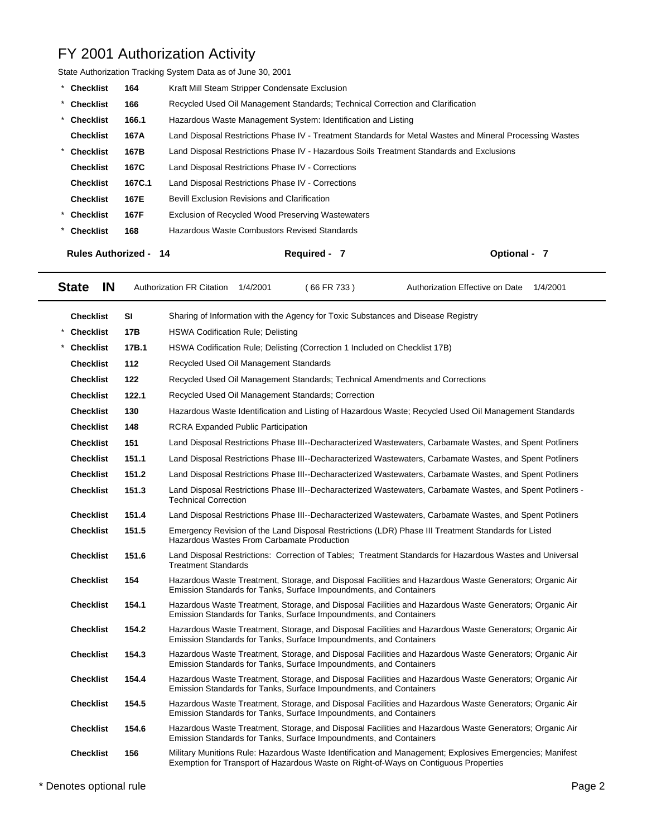| State Authorization Tracking System Data as of June 30, 2001 |        |                                                                                                          |              |  |  |
|--------------------------------------------------------------|--------|----------------------------------------------------------------------------------------------------------|--------------|--|--|
| Checklist                                                    | 164    | Kraft Mill Steam Stripper Condensate Exclusion                                                           |              |  |  |
| * Checklist                                                  | 166    | Recycled Used Oil Management Standards; Technical Correction and Clarification                           |              |  |  |
| * Checklist                                                  | 166.1  | Hazardous Waste Management System: Identification and Listing                                            |              |  |  |
| <b>Checklist</b>                                             | 167A   | Land Disposal Restrictions Phase IV - Treatment Standards for Metal Wastes and Mineral Processing Wastes |              |  |  |
| * Checklist                                                  | 167B   | Land Disposal Restrictions Phase IV - Hazardous Soils Treatment Standards and Exclusions                 |              |  |  |
| <b>Checklist</b>                                             | 167C   | Land Disposal Restrictions Phase IV - Corrections                                                        |              |  |  |
| <b>Checklist</b>                                             | 167C.1 | Land Disposal Restrictions Phase IV - Corrections                                                        |              |  |  |
| <b>Checklist</b>                                             | 167E   | <b>Bevill Exclusion Revisions and Clarification</b>                                                      |              |  |  |
| * Checklist                                                  | 167F   | Exclusion of Recycled Wood Preserving Wastewaters                                                        |              |  |  |
| * Checklist                                                  | 168    | Hazardous Waste Combustors Revised Standards                                                             |              |  |  |
| <b>Rules Authorized - 14</b>                                 |        | Required - 7                                                                                             | Optional - 7 |  |  |

| <b>State</b><br><b>IN</b> |            | <b>Authorization FR Citation</b>           | 1/4/2001 | (66 FR 733)                                                                | Authorization Effective on Date                                                                                                                                                                  | 1/4/2001 |
|---------------------------|------------|--------------------------------------------|----------|----------------------------------------------------------------------------|--------------------------------------------------------------------------------------------------------------------------------------------------------------------------------------------------|----------|
| <b>Checklist</b>          | SI         |                                            |          |                                                                            | Sharing of Information with the Agency for Toxic Substances and Disease Registry                                                                                                                 |          |
| <b>Checklist</b>          | <b>17B</b> | <b>HSWA Codification Rule; Delisting</b>   |          |                                                                            |                                                                                                                                                                                                  |          |
| <b>Checklist</b>          | 17B.1      |                                            |          | HSWA Codification Rule; Delisting (Correction 1 Included on Checklist 17B) |                                                                                                                                                                                                  |          |
| <b>Checklist</b>          | 112        | Recycled Used Oil Management Standards     |          |                                                                            |                                                                                                                                                                                                  |          |
| <b>Checklist</b>          | 122        |                                            |          |                                                                            | Recycled Used Oil Management Standards; Technical Amendments and Corrections                                                                                                                     |          |
| <b>Checklist</b>          | 122.1      |                                            |          | Recycled Used Oil Management Standards; Correction                         |                                                                                                                                                                                                  |          |
| <b>Checklist</b>          | 130        |                                            |          |                                                                            | Hazardous Waste Identification and Listing of Hazardous Waste; Recycled Used Oil Management Standards                                                                                            |          |
| <b>Checklist</b>          | 148        | <b>RCRA Expanded Public Participation</b>  |          |                                                                            |                                                                                                                                                                                                  |          |
| <b>Checklist</b>          | 151        |                                            |          |                                                                            | Land Disposal Restrictions Phase III--Decharacterized Wastewaters, Carbamate Wastes, and Spent Potliners                                                                                         |          |
| <b>Checklist</b>          | 151.1      |                                            |          |                                                                            | Land Disposal Restrictions Phase III--Decharacterized Wastewaters, Carbamate Wastes, and Spent Potliners                                                                                         |          |
| <b>Checklist</b>          | 151.2      |                                            |          |                                                                            | Land Disposal Restrictions Phase III--Decharacterized Wastewaters, Carbamate Wastes, and Spent Potliners                                                                                         |          |
| <b>Checklist</b>          | 151.3      | <b>Technical Correction</b>                |          |                                                                            | Land Disposal Restrictions Phase III--Decharacterized Wastewaters, Carbamate Wastes, and Spent Potliners -                                                                                       |          |
| <b>Checklist</b>          | 151.4      |                                            |          |                                                                            | Land Disposal Restrictions Phase III--Decharacterized Wastewaters, Carbamate Wastes, and Spent Potliners                                                                                         |          |
| <b>Checklist</b>          | 151.5      | Hazardous Wastes From Carbamate Production |          |                                                                            | Emergency Revision of the Land Disposal Restrictions (LDR) Phase III Treatment Standards for Listed                                                                                              |          |
| <b>Checklist</b>          | 151.6      | <b>Treatment Standards</b>                 |          |                                                                            | Land Disposal Restrictions: Correction of Tables; Treatment Standards for Hazardous Wastes and Universal                                                                                         |          |
| <b>Checklist</b>          | 154        |                                            |          | Emission Standards for Tanks, Surface Impoundments, and Containers         | Hazardous Waste Treatment, Storage, and Disposal Facilities and Hazardous Waste Generators; Organic Air                                                                                          |          |
| <b>Checklist</b>          | 154.1      |                                            |          | Emission Standards for Tanks, Surface Impoundments, and Containers         | Hazardous Waste Treatment, Storage, and Disposal Facilities and Hazardous Waste Generators; Organic Air                                                                                          |          |
| <b>Checklist</b>          | 154.2      |                                            |          | Emission Standards for Tanks, Surface Impoundments, and Containers         | Hazardous Waste Treatment, Storage, and Disposal Facilities and Hazardous Waste Generators; Organic Air                                                                                          |          |
| <b>Checklist</b>          | 154.3      |                                            |          | Emission Standards for Tanks, Surface Impoundments, and Containers         | Hazardous Waste Treatment, Storage, and Disposal Facilities and Hazardous Waste Generators; Organic Air                                                                                          |          |
| <b>Checklist</b>          | 154.4      |                                            |          | Emission Standards for Tanks, Surface Impoundments, and Containers         | Hazardous Waste Treatment, Storage, and Disposal Facilities and Hazardous Waste Generators; Organic Air                                                                                          |          |
| <b>Checklist</b>          | 154.5      |                                            |          | Emission Standards for Tanks, Surface Impoundments, and Containers         | Hazardous Waste Treatment, Storage, and Disposal Facilities and Hazardous Waste Generators; Organic Air                                                                                          |          |
| <b>Checklist</b>          | 154.6      |                                            |          | Emission Standards for Tanks, Surface Impoundments, and Containers         | Hazardous Waste Treatment, Storage, and Disposal Facilities and Hazardous Waste Generators; Organic Air                                                                                          |          |
| <b>Checklist</b>          | 156        |                                            |          |                                                                            | Military Munitions Rule: Hazardous Waste Identification and Management; Explosives Emergencies; Manifest<br>Exemption for Transport of Hazardous Waste on Right-of-Ways on Contiguous Properties |          |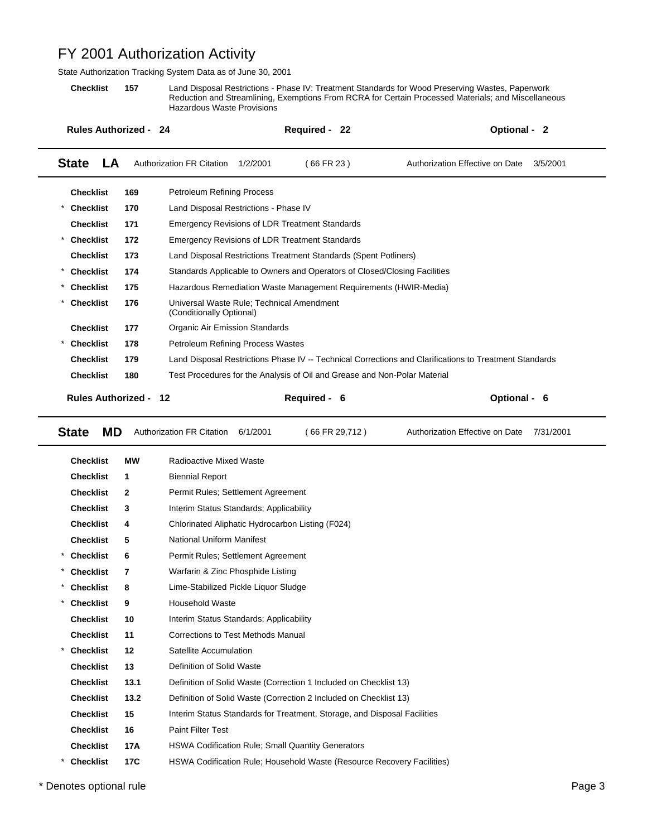State Authorization Tracking System Data as of June 30, 2001

**Checklist 157** Land Disposal Restrictions - Phase IV: Treatment Standards for Wood Preserving Wastes, Paperwork Reduction and Streamlining, Exemptions From RCRA for Certain Processed Materials; and Miscellaneous Hazardous Waste Provisions

| <b>Rules Authorized - 24</b>   |            |                                                                           | Required - 22 |                | Optional - 2                                                                                           |
|--------------------------------|------------|---------------------------------------------------------------------------|---------------|----------------|--------------------------------------------------------------------------------------------------------|
| <b>State</b><br>LA             |            | <b>Authorization FR Citation</b><br>1/2/2001                              | (66 FR 23)    |                | Authorization Effective on Date<br>3/5/2001                                                            |
| <b>Checklist</b>               | 169        | <b>Petroleum Refining Process</b>                                         |               |                |                                                                                                        |
| <b>Checklist</b>               | 170        | Land Disposal Restrictions - Phase IV                                     |               |                |                                                                                                        |
| <b>Checklist</b>               | 171        | <b>Emergency Revisions of LDR Treatment Standards</b>                     |               |                |                                                                                                        |
| <b>Checklist</b>               | 172        | <b>Emergency Revisions of LDR Treatment Standards</b>                     |               |                |                                                                                                        |
| <b>Checklist</b>               | 173        | Land Disposal Restrictions Treatment Standards (Spent Potliners)          |               |                |                                                                                                        |
| $^{\star}$<br><b>Checklist</b> | 174        | Standards Applicable to Owners and Operators of Closed/Closing Facilities |               |                |                                                                                                        |
| <b>Checklist</b>               | 175        | Hazardous Remediation Waste Management Requirements (HWIR-Media)          |               |                |                                                                                                        |
| <b>Checklist</b>               | 176        | Universal Waste Rule; Technical Amendment<br>(Conditionally Optional)     |               |                |                                                                                                        |
| <b>Checklist</b>               | 177        | Organic Air Emission Standards                                            |               |                |                                                                                                        |
| <b>Checklist</b>               | 178        | Petroleum Refining Process Wastes                                         |               |                |                                                                                                        |
| <b>Checklist</b>               | 179        |                                                                           |               |                | Land Disposal Restrictions Phase IV -- Technical Corrections and Clarifications to Treatment Standards |
| <b>Checklist</b>               | 180        | Test Procedures for the Analysis of Oil and Grease and Non-Polar Material |               |                |                                                                                                        |
| <b>State</b><br>MD             |            | <b>Authorization FR Citation</b><br>6/1/2001                              |               | (66 FR 29,712) | Authorization Effective on Date<br>7/31/2001                                                           |
| <b>Checklist</b>               | <b>MW</b>  | Radioactive Mixed Waste                                                   |               |                |                                                                                                        |
| <b>Checklist</b>               | 1          | <b>Biennial Report</b>                                                    |               |                |                                                                                                        |
| <b>Checklist</b>               | 2          | Permit Rules; Settlement Agreement                                        |               |                |                                                                                                        |
| <b>Checklist</b>               | 3          | Interim Status Standards; Applicability                                   |               |                |                                                                                                        |
| <b>Checklist</b>               | 4          | Chlorinated Aliphatic Hydrocarbon Listing (F024)                          |               |                |                                                                                                        |
| <b>Checklist</b>               | 5          | National Uniform Manifest                                                 |               |                |                                                                                                        |
| <b>Checklist</b>               | 6          | Permit Rules; Settlement Agreement                                        |               |                |                                                                                                        |
| <b>Checklist</b>               | 7          | Warfarin & Zinc Phosphide Listing                                         |               |                |                                                                                                        |
| <b>Checklist</b>               | 8          | Lime-Stabilized Pickle Liquor Sludge                                      |               |                |                                                                                                        |
| $\ast$<br><b>Checklist</b>     | 9          | <b>Household Waste</b>                                                    |               |                |                                                                                                        |
| <b>Checklist</b>               | 10         | Interim Status Standards; Applicability                                   |               |                |                                                                                                        |
| <b>Checklist</b>               | 11         | Corrections to Test Methods Manual                                        |               |                |                                                                                                        |
| <b>Checklist</b>               | 12         | Satellite Accumulation                                                    |               |                |                                                                                                        |
| <b>Checklist</b>               | 13         | Definition of Solid Waste                                                 |               |                |                                                                                                        |
| <b>Checklist</b>               | 13.1       | Definition of Solid Waste (Correction 1 Included on Checklist 13)         |               |                |                                                                                                        |
| <b>Checklist</b>               | 13.2       | Definition of Solid Waste (Correction 2 Included on Checklist 13)         |               |                |                                                                                                        |
| <b>Checklist</b>               | 15         | Interim Status Standards for Treatment, Storage, and Disposal Facilities  |               |                |                                                                                                        |
| <b>Checklist</b>               | 16         | <b>Paint Filter Test</b>                                                  |               |                |                                                                                                        |
| <b>Checklist</b>               | 17A        | HSWA Codification Rule; Small Quantity Generators                         |               |                |                                                                                                        |
| $^{\star}$<br><b>Checklist</b> | <b>17C</b> | HSWA Codification Rule; Household Waste (Resource Recovery Facilities)    |               |                |                                                                                                        |

\* Denotes optional rule Page 3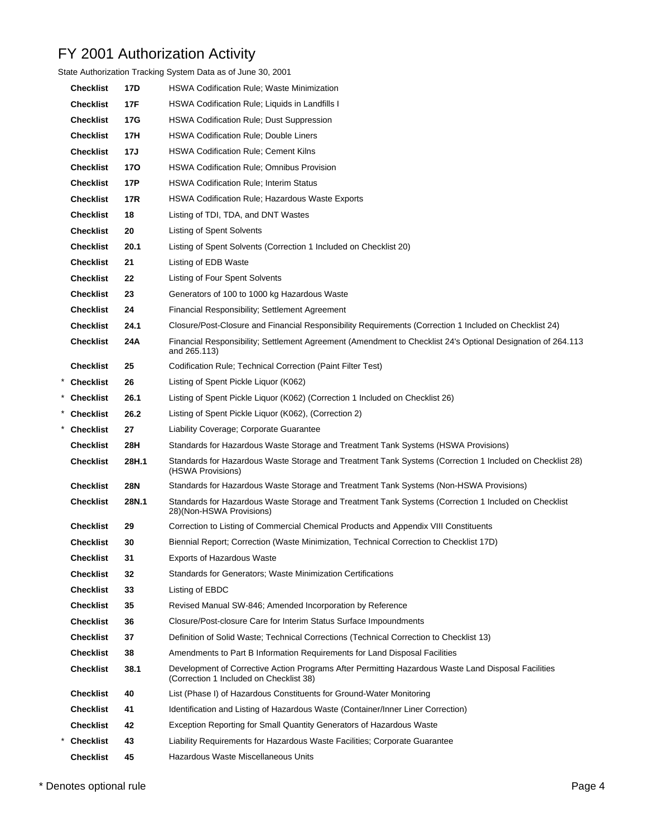| State Authorization Tracking System Data as of June 30, 2001 |            |                                                                                                                                                |  |  |  |  |  |
|--------------------------------------------------------------|------------|------------------------------------------------------------------------------------------------------------------------------------------------|--|--|--|--|--|
| <b>Checklist</b>                                             | 17D        | <b>HSWA Codification Rule; Waste Minimization</b>                                                                                              |  |  |  |  |  |
| <b>Checklist</b>                                             | 17F        | HSWA Codification Rule; Liquids in Landfills I                                                                                                 |  |  |  |  |  |
| <b>Checklist</b>                                             | 17G        | <b>HSWA Codification Rule; Dust Suppression</b>                                                                                                |  |  |  |  |  |
| <b>Checklist</b>                                             | 17H        | <b>HSWA Codification Rule; Double Liners</b>                                                                                                   |  |  |  |  |  |
| <b>Checklist</b>                                             | 17J        | <b>HSWA Codification Rule; Cement Kilns</b>                                                                                                    |  |  |  |  |  |
| <b>Checklist</b>                                             | 170        | <b>HSWA Codification Rule; Omnibus Provision</b>                                                                                               |  |  |  |  |  |
| <b>Checklist</b>                                             | 17P        | <b>HSWA Codification Rule; Interim Status</b>                                                                                                  |  |  |  |  |  |
| <b>Checklist</b>                                             | 17R        | <b>HSWA Codification Rule: Hazardous Waste Exports</b>                                                                                         |  |  |  |  |  |
| <b>Checklist</b>                                             | 18         | Listing of TDI, TDA, and DNT Wastes                                                                                                            |  |  |  |  |  |
| <b>Checklist</b>                                             | 20         | <b>Listing of Spent Solvents</b>                                                                                                               |  |  |  |  |  |
| <b>Checklist</b>                                             | 20.1       | Listing of Spent Solvents (Correction 1 Included on Checklist 20)                                                                              |  |  |  |  |  |
| <b>Checklist</b>                                             | 21         | Listing of EDB Waste                                                                                                                           |  |  |  |  |  |
| <b>Checklist</b>                                             | 22         | Listing of Four Spent Solvents                                                                                                                 |  |  |  |  |  |
| <b>Checklist</b>                                             | 23         | Generators of 100 to 1000 kg Hazardous Waste                                                                                                   |  |  |  |  |  |
| <b>Checklist</b>                                             | 24         | Financial Responsibility; Settlement Agreement                                                                                                 |  |  |  |  |  |
| <b>Checklist</b>                                             | 24.1       | Closure/Post-Closure and Financial Responsibility Requirements (Correction 1 Included on Checklist 24)                                         |  |  |  |  |  |
| <b>Checklist</b>                                             | 24A        | Financial Responsibility; Settlement Agreement (Amendment to Checklist 24's Optional Designation of 264.113<br>and 265.113)                    |  |  |  |  |  |
| <b>Checklist</b>                                             | 25         | Codification Rule; Technical Correction (Paint Filter Test)                                                                                    |  |  |  |  |  |
| * Checklist                                                  | 26         | Listing of Spent Pickle Liquor (K062)                                                                                                          |  |  |  |  |  |
| Checklist                                                    | 26.1       | Listing of Spent Pickle Liquor (K062) (Correction 1 Included on Checklist 26)                                                                  |  |  |  |  |  |
| * Checklist                                                  | 26.2       | Listing of Spent Pickle Liquor (K062), (Correction 2)                                                                                          |  |  |  |  |  |
| Checklist                                                    | 27         | Liability Coverage; Corporate Guarantee                                                                                                        |  |  |  |  |  |
| <b>Checklist</b>                                             | 28H        | Standards for Hazardous Waste Storage and Treatment Tank Systems (HSWA Provisions)                                                             |  |  |  |  |  |
| <b>Checklist</b>                                             | 28H.1      | Standards for Hazardous Waste Storage and Treatment Tank Systems (Correction 1 Included on Checklist 28)<br>(HSWA Provisions)                  |  |  |  |  |  |
| <b>Checklist</b>                                             | <b>28N</b> | Standards for Hazardous Waste Storage and Treatment Tank Systems (Non-HSWA Provisions)                                                         |  |  |  |  |  |
| <b>Checklist</b>                                             | 28N.1      | Standards for Hazardous Waste Storage and Treatment Tank Systems (Correction 1 Included on Checklist<br>28)(Non-HSWA Provisions)               |  |  |  |  |  |
| <b>Checklist</b>                                             | 29         | Correction to Listing of Commercial Chemical Products and Appendix VIII Constituents                                                           |  |  |  |  |  |
| <b>Checklist</b>                                             | 30         | Biennial Report; Correction (Waste Minimization, Technical Correction to Checklist 17D)                                                        |  |  |  |  |  |
| <b>Checklist</b>                                             | 31         | <b>Exports of Hazardous Waste</b>                                                                                                              |  |  |  |  |  |
| <b>Checklist</b>                                             | 32         | Standards for Generators; Waste Minimization Certifications                                                                                    |  |  |  |  |  |
| <b>Checklist</b>                                             | 33         | Listing of EBDC                                                                                                                                |  |  |  |  |  |
| <b>Checklist</b>                                             | 35         | Revised Manual SW-846; Amended Incorporation by Reference                                                                                      |  |  |  |  |  |
| <b>Checklist</b>                                             | 36         | Closure/Post-closure Care for Interim Status Surface Impoundments                                                                              |  |  |  |  |  |
| <b>Checklist</b>                                             | 37         | Definition of Solid Waste; Technical Corrections (Technical Correction to Checklist 13)                                                        |  |  |  |  |  |
| <b>Checklist</b>                                             | 38         | Amendments to Part B Information Requirements for Land Disposal Facilities                                                                     |  |  |  |  |  |
| <b>Checklist</b>                                             | 38.1       | Development of Corrective Action Programs After Permitting Hazardous Waste Land Disposal Facilities<br>(Correction 1 Included on Checklist 38) |  |  |  |  |  |
| <b>Checklist</b>                                             | 40         | List (Phase I) of Hazardous Constituents for Ground-Water Monitoring                                                                           |  |  |  |  |  |
| <b>Checklist</b>                                             | 41         | Identification and Listing of Hazardous Waste (Container/Inner Liner Correction)                                                               |  |  |  |  |  |
| <b>Checklist</b>                                             | 42         | Exception Reporting for Small Quantity Generators of Hazardous Waste                                                                           |  |  |  |  |  |
| <b>Checklist</b>                                             | 43         | Liability Requirements for Hazardous Waste Facilities; Corporate Guarantee                                                                     |  |  |  |  |  |
| <b>Checklist</b>                                             | 45         | Hazardous Waste Miscellaneous Units                                                                                                            |  |  |  |  |  |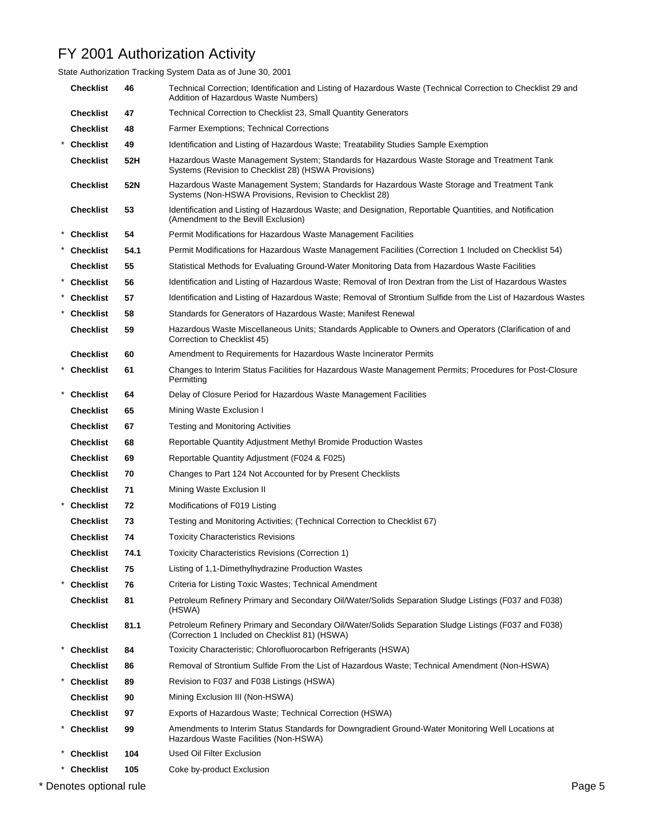State Authorization Tracking System Data as of June 30, 2001

| <b>Checklist</b> | 46   | Technical Correction; Identification and Listing of Hazardous Waste (Technical Correction to Checklist 29 and<br>Addition of Hazardous Waste Numbers)  |
|------------------|------|--------------------------------------------------------------------------------------------------------------------------------------------------------|
| <b>Checklist</b> | 47   | Technical Correction to Checklist 23, Small Quantity Generators                                                                                        |
| <b>Checklist</b> | 48   | <b>Farmer Exemptions: Technical Corrections</b>                                                                                                        |
| Checklist        | 49   | Identification and Listing of Hazardous Waste; Treatability Studies Sample Exemption                                                                   |
| <b>Checklist</b> | 52H  | Hazardous Waste Management System; Standards for Hazardous Waste Storage and Treatment Tank<br>Systems (Revision to Checklist 28) (HSWA Provisions)    |
| <b>Checklist</b> | 52N  | Hazardous Waste Management System; Standards for Hazardous Waste Storage and Treatment Tank<br>Systems (Non-HSWA Provisions, Revision to Checklist 28) |
| <b>Checklist</b> | 53   | Identification and Listing of Hazardous Waste; and Designation, Reportable Quantities, and Notification<br>(Amendment to the Bevill Exclusion)         |
| * Checklist      | 54   | Permit Modifications for Hazardous Waste Management Facilities                                                                                         |
| * Checklist      | 54.1 | Permit Modifications for Hazardous Waste Management Facilities (Correction 1 Included on Checklist 54)                                                 |
| <b>Checklist</b> | 55   | Statistical Methods for Evaluating Ground-Water Monitoring Data from Hazardous Waste Facilities                                                        |
| <b>Checklist</b> | 56   | Identification and Listing of Hazardous Waste; Removal of Iron Dextran from the List of Hazardous Wastes                                               |
| * Checklist      | 57   | Identification and Listing of Hazardous Waste; Removal of Strontium Sulfide from the List of Hazardous Wastes                                          |
| * Checklist      | 58   | Standards for Generators of Hazardous Waste; Manifest Renewal                                                                                          |
| <b>Checklist</b> | 59   | Hazardous Waste Miscellaneous Units; Standards Applicable to Owners and Operators (Clarification of and<br>Correction to Checklist 45)                 |
| <b>Checklist</b> | 60   | Amendment to Requirements for Hazardous Waste Incinerator Permits                                                                                      |
| * Checklist      | 61   | Changes to Interim Status Facilities for Hazardous Waste Management Permits; Procedures for Post-Closure<br>Permitting                                 |
| * Checklist      | 64   | Delay of Closure Period for Hazardous Waste Management Facilities                                                                                      |
| <b>Checklist</b> | 65   | Mining Waste Exclusion I                                                                                                                               |
| <b>Checklist</b> | 67   | <b>Testing and Monitoring Activities</b>                                                                                                               |
| <b>Checklist</b> | 68   | Reportable Quantity Adjustment Methyl Bromide Production Wastes                                                                                        |
| <b>Checklist</b> | 69   | Reportable Quantity Adjustment (F024 & F025)                                                                                                           |
| <b>Checklist</b> | 70   | Changes to Part 124 Not Accounted for by Present Checklists                                                                                            |
| <b>Checklist</b> | 71   | Mining Waste Exclusion II                                                                                                                              |
| * Checklist      | 72   | Modifications of F019 Listing                                                                                                                          |
| <b>Checklist</b> | 73   | Testing and Monitoring Activities; (Technical Correction to Checklist 67)                                                                              |
| <b>Checklist</b> | 74   | <b>Toxicity Characteristics Revisions</b>                                                                                                              |
| <b>Checklist</b> | 74.1 | Toxicity Characteristics Revisions (Correction 1)                                                                                                      |
| <b>Checklist</b> | 75   | Listing of 1,1-Dimethylhydrazine Production Wastes                                                                                                     |
| * Checklist      | 76   | Criteria for Listing Toxic Wastes; Technical Amendment                                                                                                 |
| <b>Checklist</b> | 81   | Petroleum Refinery Primary and Secondary Oil/Water/Solids Separation Sludge Listings (F037 and F038)<br>(HSWA)                                         |
| <b>Checklist</b> | 81.1 | Petroleum Refinery Primary and Secondary Oil/Water/Solids Separation Sludge Listings (F037 and F038)<br>(Correction 1 Included on Checklist 81) (HSWA) |
| <b>Checklist</b> | 84   | Toxicity Characteristic; Chlorofluorocarbon Refrigerants (HSWA)                                                                                        |
| <b>Checklist</b> | 86   | Removal of Strontium Sulfide From the List of Hazardous Waste; Technical Amendment (Non-HSWA)                                                          |
| <b>Checklist</b> | 89   | Revision to F037 and F038 Listings (HSWA)                                                                                                              |
| <b>Checklist</b> | 90   | Mining Exclusion III (Non-HSWA)                                                                                                                        |
| <b>Checklist</b> | 97   | Exports of Hazardous Waste; Technical Correction (HSWA)                                                                                                |
| <b>Checklist</b> | 99   | Amendments to Interim Status Standards for Downgradient Ground-Water Monitoring Well Locations at<br>Hazardous Waste Facilities (Non-HSWA)             |
| <b>Checklist</b> | 104  | Used Oil Filter Exclusion                                                                                                                              |
| <b>Checklist</b> | 105  | Coke by-product Exclusion                                                                                                                              |

\* Denotes optional rule Page 5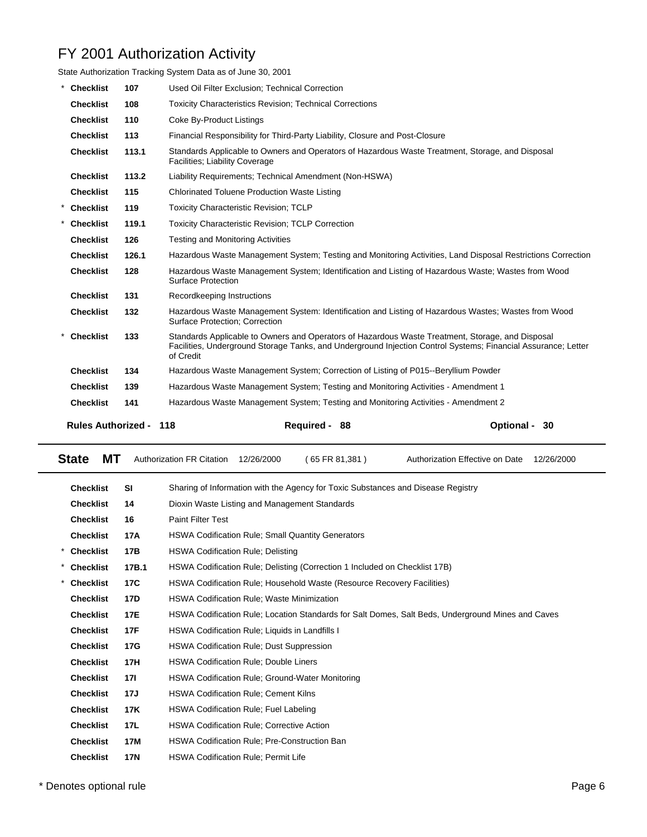| State Authorization Tracking System Data as of June 30, 2001 |       |                                                                                                                                                                                                                                |                         |  |  |  |
|--------------------------------------------------------------|-------|--------------------------------------------------------------------------------------------------------------------------------------------------------------------------------------------------------------------------------|-------------------------|--|--|--|
| <b>Checklist</b>                                             | 107   | Used Oil Filter Exclusion: Technical Correction                                                                                                                                                                                |                         |  |  |  |
| <b>Checklist</b>                                             | 108   | <b>Toxicity Characteristics Revision: Technical Corrections</b>                                                                                                                                                                |                         |  |  |  |
| <b>Checklist</b>                                             | 110   | Coke By-Product Listings                                                                                                                                                                                                       |                         |  |  |  |
| <b>Checklist</b>                                             | 113   | Financial Responsibility for Third-Party Liability, Closure and Post-Closure                                                                                                                                                   |                         |  |  |  |
| <b>Checklist</b>                                             | 113.1 | Standards Applicable to Owners and Operators of Hazardous Waste Treatment, Storage, and Disposal<br>Facilities: Liability Coverage                                                                                             |                         |  |  |  |
| <b>Checklist</b>                                             | 113.2 | Liability Requirements: Technical Amendment (Non-HSWA)                                                                                                                                                                         |                         |  |  |  |
| <b>Checklist</b>                                             | 115   | <b>Chlorinated Toluene Production Waste Listing</b>                                                                                                                                                                            |                         |  |  |  |
| * Checklist                                                  | 119   | Toxicity Characteristic Revision; TCLP                                                                                                                                                                                         |                         |  |  |  |
| <b>Checklist</b>                                             | 119.1 | <b>Toxicity Characteristic Revision: TCLP Correction</b>                                                                                                                                                                       |                         |  |  |  |
| <b>Checklist</b>                                             | 126   | <b>Testing and Monitoring Activities</b>                                                                                                                                                                                       |                         |  |  |  |
| <b>Checklist</b>                                             | 126.1 | Hazardous Waste Management System; Testing and Monitoring Activities, Land Disposal Restrictions Correction                                                                                                                    |                         |  |  |  |
| <b>Checklist</b>                                             | 128   | Hazardous Waste Management System; Identification and Listing of Hazardous Waste; Wastes from Wood<br><b>Surface Protection</b>                                                                                                |                         |  |  |  |
| <b>Checklist</b>                                             | 131   | Recordkeeping Instructions                                                                                                                                                                                                     |                         |  |  |  |
| <b>Checklist</b>                                             | 132   | Hazardous Waste Management System: Identification and Listing of Hazardous Wastes; Wastes from Wood<br>Surface Protection; Correction                                                                                          |                         |  |  |  |
| <b>Checklist</b>                                             | 133   | Standards Applicable to Owners and Operators of Hazardous Waste Treatment, Storage, and Disposal<br>Facilities, Underground Storage Tanks, and Underground Injection Control Systems; Financial Assurance; Letter<br>of Credit |                         |  |  |  |
| <b>Checklist</b>                                             | 134   | Hazardous Waste Management System; Correction of Listing of P015--Beryllium Powder                                                                                                                                             |                         |  |  |  |
| <b>Checklist</b>                                             | 139   | Hazardous Waste Management System; Testing and Monitoring Activities - Amendment 1                                                                                                                                             |                         |  |  |  |
| <b>Checklist</b>                                             | 141   | Hazardous Waste Management System; Testing and Monitoring Activities - Amendment 2                                                                                                                                             |                         |  |  |  |
| <b>Rules Authorized -</b>                                    |       | 118<br><b>Required -</b><br>88                                                                                                                                                                                                 | <b>Optional -</b><br>30 |  |  |  |

| <b>State</b><br>MТ |            | <b>Authorization FR Citation</b>                    | 12/26/2000 | (65 FR 81,381)                                                                   | Authorization Effective on Date                                                                   | 12/26/2000 |
|--------------------|------------|-----------------------------------------------------|------------|----------------------------------------------------------------------------------|---------------------------------------------------------------------------------------------------|------------|
| <b>Checklist</b>   | <b>SI</b>  |                                                     |            | Sharing of Information with the Agency for Toxic Substances and Disease Registry |                                                                                                   |            |
| <b>Checklist</b>   | 14         | Dioxin Waste Listing and Management Standards       |            |                                                                                  |                                                                                                   |            |
| <b>Checklist</b>   | 16         | <b>Paint Filter Test</b>                            |            |                                                                                  |                                                                                                   |            |
| <b>Checklist</b>   | 17A        |                                                     |            | <b>HSWA Codification Rule; Small Quantity Generators</b>                         |                                                                                                   |            |
| <b>Checklist</b>   | 17B        | <b>HSWA Codification Rule: Delisting</b>            |            |                                                                                  |                                                                                                   |            |
| <b>Checklist</b>   | 17B.1      |                                                     |            | HSWA Codification Rule; Delisting (Correction 1 Included on Checklist 17B)       |                                                                                                   |            |
| <b>Checklist</b>   | 17C        |                                                     |            | <b>HSWA Codification Rule: Household Waste (Resource Recovery Facilities)</b>    |                                                                                                   |            |
| <b>Checklist</b>   | 17D        | <b>HSWA Codification Rule: Waste Minimization</b>   |            |                                                                                  |                                                                                                   |            |
| <b>Checklist</b>   | 17E        |                                                     |            |                                                                                  | HSWA Codification Rule; Location Standards for Salt Domes, Salt Beds, Underground Mines and Caves |            |
| <b>Checklist</b>   | <b>17F</b> | HSWA Codification Rule: Liquids in Landfills I      |            |                                                                                  |                                                                                                   |            |
| <b>Checklist</b>   | 17G        | <b>HSWA Codification Rule: Dust Suppression</b>     |            |                                                                                  |                                                                                                   |            |
| <b>Checklist</b>   | 17H        | <b>HSWA Codification Rule: Double Liners</b>        |            |                                                                                  |                                                                                                   |            |
| <b>Checklist</b>   | <b>171</b> |                                                     |            | HSWA Codification Rule; Ground-Water Monitoring                                  |                                                                                                   |            |
| <b>Checklist</b>   | 17J        | <b>HSWA Codification Rule: Cement Kilns</b>         |            |                                                                                  |                                                                                                   |            |
| <b>Checklist</b>   | 17K        | <b>HSWA Codification Rule: Fuel Labeling</b>        |            |                                                                                  |                                                                                                   |            |
| <b>Checklist</b>   | 17L        | <b>HSWA Codification Rule: Corrective Action</b>    |            |                                                                                  |                                                                                                   |            |
| <b>Checklist</b>   | 17M        | <b>HSWA Codification Rule: Pre-Construction Ban</b> |            |                                                                                  |                                                                                                   |            |
| <b>Checklist</b>   | 17N        | <b>HSWA Codification Rule: Permit Life</b>          |            |                                                                                  |                                                                                                   |            |
|                    |            |                                                     |            |                                                                                  |                                                                                                   |            |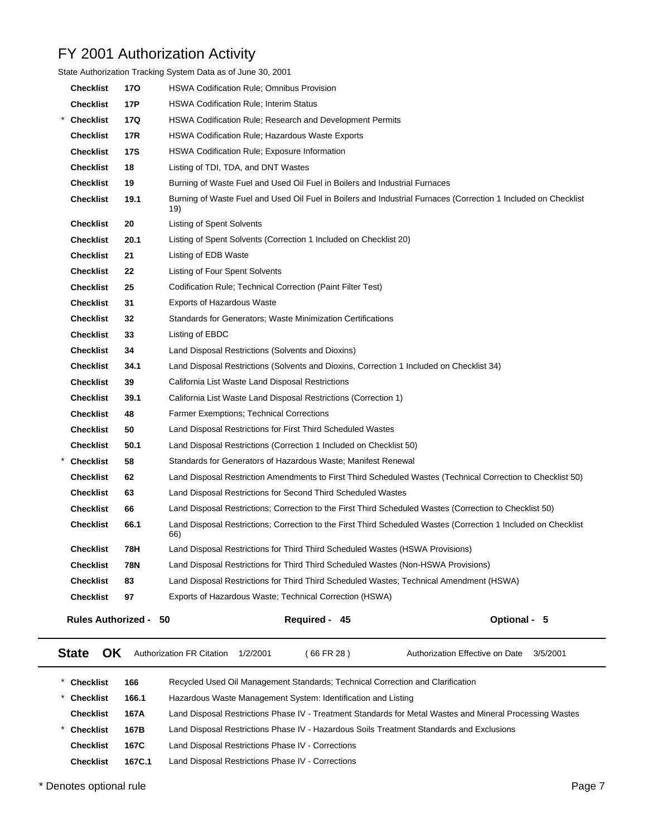|                           |            | State Authorization Tracking System Data as of June 30, 2001                                                          |  |
|---------------------------|------------|-----------------------------------------------------------------------------------------------------------------------|--|
| <b>Checklist</b>          | 170        | <b>HSWA Codification Rule; Omnibus Provision</b>                                                                      |  |
| <b>Checklist</b>          | 17P        | HSWA Codification Rule; Interim Status                                                                                |  |
| <b>Checklist</b>          | 17Q        | <b>HSWA Codification Rule; Research and Development Permits</b>                                                       |  |
| <b>Checklist</b>          | 17R        | HSWA Codification Rule; Hazardous Waste Exports                                                                       |  |
| <b>Checklist</b>          | <b>17S</b> | <b>HSWA Codification Rule; Exposure Information</b>                                                                   |  |
| <b>Checklist</b>          | 18         | Listing of TDI, TDA, and DNT Wastes                                                                                   |  |
| <b>Checklist</b>          | 19         | Burning of Waste Fuel and Used Oil Fuel in Boilers and Industrial Furnaces                                            |  |
| <b>Checklist</b>          | 19.1       | Burning of Waste Fuel and Used Oil Fuel in Boilers and Industrial Furnaces (Correction 1 Included on Checklist<br>19) |  |
| <b>Checklist</b>          | 20         | <b>Listing of Spent Solvents</b>                                                                                      |  |
| <b>Checklist</b>          | 20.1       | Listing of Spent Solvents (Correction 1 Included on Checklist 20)                                                     |  |
| <b>Checklist</b>          | 21         | Listing of EDB Waste                                                                                                  |  |
| <b>Checklist</b>          | 22         | Listing of Four Spent Solvents                                                                                        |  |
| <b>Checklist</b>          | 25         | Codification Rule; Technical Correction (Paint Filter Test)                                                           |  |
| <b>Checklist</b>          | 31         | <b>Exports of Hazardous Waste</b>                                                                                     |  |
| <b>Checklist</b>          | 32         | Standards for Generators; Waste Minimization Certifications                                                           |  |
| <b>Checklist</b>          | 33         | Listing of EBDC                                                                                                       |  |
| <b>Checklist</b>          | 34         | Land Disposal Restrictions (Solvents and Dioxins)                                                                     |  |
| <b>Checklist</b>          | 34.1       | Land Disposal Restrictions (Solvents and Dioxins, Correction 1 Included on Checklist 34)                              |  |
| <b>Checklist</b>          | 39         | California List Waste Land Disposal Restrictions                                                                      |  |
| <b>Checklist</b>          | 39.1       | California List Waste Land Disposal Restrictions (Correction 1)                                                       |  |
| <b>Checklist</b>          | 48         | <b>Farmer Exemptions: Technical Corrections</b>                                                                       |  |
| <b>Checklist</b>          | 50         | Land Disposal Restrictions for First Third Scheduled Wastes                                                           |  |
| <b>Checklist</b>          | 50.1       | Land Disposal Restrictions (Correction 1 Included on Checklist 50)                                                    |  |
| <b>Checklist</b>          | 58         | Standards for Generators of Hazardous Waste; Manifest Renewal                                                         |  |
| <b>Checklist</b>          | 62         | Land Disposal Restriction Amendments to First Third Scheduled Wastes (Technical Correction to Checklist 50)           |  |
| <b>Checklist</b>          | 63         | Land Disposal Restrictions for Second Third Scheduled Wastes                                                          |  |
| <b>Checklist</b>          | 66         | Land Disposal Restrictions; Correction to the First Third Scheduled Wastes (Correction to Checklist 50)               |  |
| <b>Checklist</b>          | 66.1       | Land Disposal Restrictions; Correction to the First Third Scheduled Wastes (Correction 1 Included on Checklist<br>66) |  |
| <b>Checklist</b>          | 78H        | Land Disposal Restrictions for Third Third Scheduled Wastes (HSWA Provisions)                                         |  |
| <b>Checklist</b>          | <b>78N</b> | Land Disposal Restrictions for Third Third Scheduled Wastes (Non-HSWA Provisions)                                     |  |
| <b>Checklist</b>          | 83         | Land Disposal Restrictions for Third Third Scheduled Wastes; Technical Amendment (HSWA)                               |  |
| <b>Checklist</b>          | 97         | Exports of Hazardous Waste; Technical Correction (HSWA)                                                               |  |
| <b>Rules Authorized -</b> |            | Required - 45<br>Optional - 5<br>50                                                                                   |  |
| <b>State</b><br>OK.       |            | Authorization FR Citation<br>(66 FR 28)<br>1/2/2001<br>Authorization Effective on Date<br>3/5/2001                    |  |

| <b>Checklist</b> | 166    | Recycled Used Oil Management Standards; Technical Correction and Clarification                           |  |
|------------------|--------|----------------------------------------------------------------------------------------------------------|--|
| <b>Checklist</b> | 166.1  | Hazardous Waste Management System: Identification and Listing                                            |  |
| <b>Checklist</b> | 167A   | Land Disposal Restrictions Phase IV - Treatment Standards for Metal Wastes and Mineral Processing Wastes |  |
| <b>Checklist</b> | 167B   | Land Disposal Restrictions Phase IV - Hazardous Soils Treatment Standards and Exclusions                 |  |
| <b>Checklist</b> | 167C   | Land Disposal Restrictions Phase IV - Corrections                                                        |  |
| <b>Checklist</b> | 167C.1 | Land Disposal Restrictions Phase IV - Corrections                                                        |  |

\* Denotes optional rule Page 7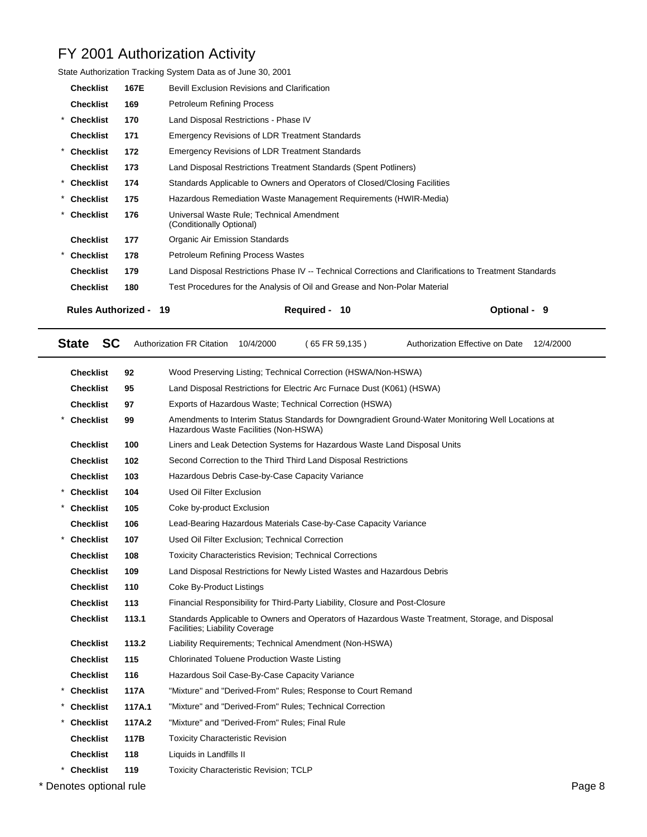| <b>Rules Authorized -</b>                                    |      | <b>Required -</b><br>19<br>10                                                                          | Optional - 9 |  |
|--------------------------------------------------------------|------|--------------------------------------------------------------------------------------------------------|--------------|--|
| <b>Checklist</b>                                             | 180  | Test Procedures for the Analysis of Oil and Grease and Non-Polar Material                              |              |  |
| <b>Checklist</b>                                             | 179  | Land Disposal Restrictions Phase IV -- Technical Corrections and Clarifications to Treatment Standards |              |  |
| * Checklist                                                  | 178  | Petroleum Refining Process Wastes                                                                      |              |  |
| <b>Checklist</b>                                             | 177  | Organic Air Emission Standards                                                                         |              |  |
| <b>Checklist</b>                                             | 176  | Universal Waste Rule: Technical Amendment<br>(Conditionally Optional)                                  |              |  |
| * Checklist                                                  | 175  | Hazardous Remediation Waste Management Requirements (HWIR-Media)                                       |              |  |
| * Checklist                                                  | 174  | Standards Applicable to Owners and Operators of Closed/Closing Facilities                              |              |  |
| <b>Checklist</b>                                             | 173  | Land Disposal Restrictions Treatment Standards (Spent Potliners)                                       |              |  |
| * Checklist                                                  | 172  | <b>Emergency Revisions of LDR Treatment Standards</b>                                                  |              |  |
| <b>Checklist</b>                                             | 171  | <b>Emergency Revisions of LDR Treatment Standards</b>                                                  |              |  |
| * Checklist                                                  | 170  | Land Disposal Restrictions - Phase IV                                                                  |              |  |
| <b>Checklist</b>                                             | 169  | <b>Petroleum Refining Process</b>                                                                      |              |  |
| <b>Checklist</b>                                             | 167E | <b>Bevill Exclusion Revisions and Clarification</b>                                                    |              |  |
| State Authorization Tracking System Data as of June 30, 2001 |      |                                                                                                        |              |  |

|                                                                                                    | <b>SC</b><br><b>State</b>                                                                  |                                                      | <b>Authorization FR Citation</b>                                                                                                           | 10/4/2000 | $(65$ FR 59,135)                                                | Authorization Effective on Date<br>12/4/2000 |        |  |
|----------------------------------------------------------------------------------------------------|--------------------------------------------------------------------------------------------|------------------------------------------------------|--------------------------------------------------------------------------------------------------------------------------------------------|-----------|-----------------------------------------------------------------|----------------------------------------------|--------|--|
|                                                                                                    | <b>Checklist</b>                                                                           | 92                                                   | Wood Preserving Listing; Technical Correction (HSWA/Non-HSWA)                                                                              |           |                                                                 |                                              |        |  |
|                                                                                                    | <b>Checklist</b>                                                                           | 95                                                   | Land Disposal Restrictions for Electric Arc Furnace Dust (K061) (HSWA)                                                                     |           |                                                                 |                                              |        |  |
|                                                                                                    | 97<br>Exports of Hazardous Waste; Technical Correction (HSWA)<br><b>Checklist</b>          |                                                      |                                                                                                                                            |           |                                                                 |                                              |        |  |
|                                                                                                    | <b>Checklist</b>                                                                           | 99                                                   | Amendments to Interim Status Standards for Downgradient Ground-Water Monitoring Well Locations at<br>Hazardous Waste Facilities (Non-HSWA) |           |                                                                 |                                              |        |  |
|                                                                                                    | <b>Checklist</b>                                                                           | 100                                                  | Liners and Leak Detection Systems for Hazardous Waste Land Disposal Units                                                                  |           |                                                                 |                                              |        |  |
|                                                                                                    | <b>Checklist</b>                                                                           | 102                                                  |                                                                                                                                            |           | Second Correction to the Third Third Land Disposal Restrictions |                                              |        |  |
|                                                                                                    | <b>Checklist</b>                                                                           | 103                                                  | Hazardous Debris Case-by-Case Capacity Variance                                                                                            |           |                                                                 |                                              |        |  |
|                                                                                                    | <b>Checklist</b>                                                                           | 104                                                  | Used Oil Filter Exclusion                                                                                                                  |           |                                                                 |                                              |        |  |
|                                                                                                    | <b>Checklist</b>                                                                           | 105                                                  | Coke by-product Exclusion                                                                                                                  |           |                                                                 |                                              |        |  |
|                                                                                                    | <b>Checklist</b>                                                                           | 106                                                  |                                                                                                                                            |           | Lead-Bearing Hazardous Materials Case-by-Case Capacity Variance |                                              |        |  |
|                                                                                                    | <b>Checklist</b>                                                                           | 107                                                  | Used Oil Filter Exclusion: Technical Correction                                                                                            |           |                                                                 |                                              |        |  |
|                                                                                                    | 108<br><b>Toxicity Characteristics Revision; Technical Corrections</b><br><b>Checklist</b> |                                                      |                                                                                                                                            |           |                                                                 |                                              |        |  |
| <b>Checklist</b><br>Land Disposal Restrictions for Newly Listed Wastes and Hazardous Debris<br>109 |                                                                                            |                                                      |                                                                                                                                            |           |                                                                 |                                              |        |  |
|                                                                                                    | <b>Checklist</b>                                                                           | 110                                                  | Coke By-Product Listings                                                                                                                   |           |                                                                 |                                              |        |  |
|                                                                                                    | 113<br><b>Checklist</b><br><b>Checklist</b><br>113.1<br><b>Checklist</b><br>113.2          |                                                      | Financial Responsibility for Third-Party Liability, Closure and Post-Closure                                                               |           |                                                                 |                                              |        |  |
|                                                                                                    |                                                                                            |                                                      | Standards Applicable to Owners and Operators of Hazardous Waste Treatment, Storage, and Disposal<br>Facilities; Liability Coverage         |           |                                                                 |                                              |        |  |
|                                                                                                    |                                                                                            |                                                      |                                                                                                                                            |           | Liability Requirements; Technical Amendment (Non-HSWA)          |                                              |        |  |
|                                                                                                    | 115<br><b>Checklist</b>                                                                    |                                                      | <b>Chlorinated Toluene Production Waste Listing</b>                                                                                        |           |                                                                 |                                              |        |  |
|                                                                                                    | <b>Checklist</b>                                                                           | 116<br>Hazardous Soil Case-By-Case Capacity Variance |                                                                                                                                            |           |                                                                 |                                              |        |  |
| $^{\star}$                                                                                         | <b>Checklist</b>                                                                           | 117A                                                 | "Mixture" and "Derived-From" Rules; Response to Court Remand                                                                               |           |                                                                 |                                              |        |  |
|                                                                                                    | <b>Checklist</b>                                                                           | 117A.1                                               |                                                                                                                                            |           | "Mixture" and "Derived-From" Rules; Technical Correction        |                                              |        |  |
|                                                                                                    | <b>Checklist</b>                                                                           | 117A.2                                               | "Mixture" and "Derived-From" Rules; Final Rule                                                                                             |           |                                                                 |                                              |        |  |
|                                                                                                    | <b>Checklist</b>                                                                           | 117B                                                 | <b>Toxicity Characteristic Revision</b>                                                                                                    |           |                                                                 |                                              |        |  |
|                                                                                                    | <b>Checklist</b>                                                                           | 118                                                  | Liquids in Landfills II                                                                                                                    |           |                                                                 |                                              |        |  |
|                                                                                                    | * Checklist                                                                                | 119                                                  | <b>Toxicity Characteristic Revision; TCLP</b>                                                                                              |           |                                                                 |                                              |        |  |
|                                                                                                    | * Denotes optional rule                                                                    |                                                      |                                                                                                                                            |           |                                                                 |                                              | Page 8 |  |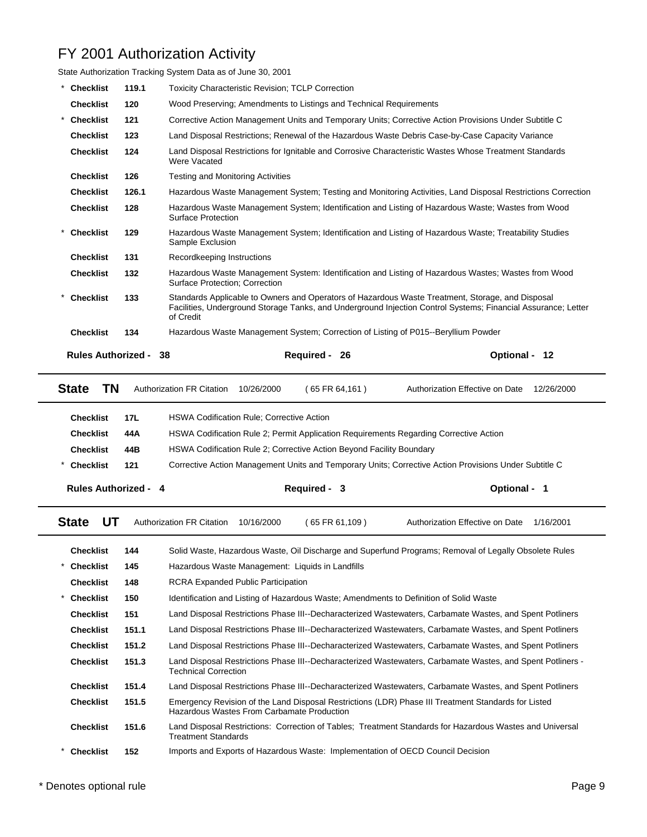|                             |       | State Authorization Tracking System Data as of June 30, 2001                                                                                                                                                                   |                                                                                                    |  |  |  |  |  |  |
|-----------------------------|-------|--------------------------------------------------------------------------------------------------------------------------------------------------------------------------------------------------------------------------------|----------------------------------------------------------------------------------------------------|--|--|--|--|--|--|
| <b>Checklist</b>            | 119.1 | <b>Toxicity Characteristic Revision: TCLP Correction</b>                                                                                                                                                                       |                                                                                                    |  |  |  |  |  |  |
| <b>Checklist</b>            | 120   | Wood Preserving; Amendments to Listings and Technical Requirements                                                                                                                                                             |                                                                                                    |  |  |  |  |  |  |
| <b>Checklist</b>            | 121   | Corrective Action Management Units and Temporary Units; Corrective Action Provisions Under Subtitle C                                                                                                                          |                                                                                                    |  |  |  |  |  |  |
| <b>Checklist</b>            | 123   | Land Disposal Restrictions; Renewal of the Hazardous Waste Debris Case-by-Case Capacity Variance                                                                                                                               |                                                                                                    |  |  |  |  |  |  |
| <b>Checklist</b>            | 124   | Land Disposal Restrictions for Ignitable and Corrosive Characteristic Wastes Whose Treatment Standards<br>Were Vacated                                                                                                         |                                                                                                    |  |  |  |  |  |  |
| <b>Checklist</b>            | 126   | <b>Testing and Monitoring Activities</b>                                                                                                                                                                                       |                                                                                                    |  |  |  |  |  |  |
| <b>Checklist</b>            | 126.1 | Hazardous Waste Management System; Testing and Monitoring Activities, Land Disposal Restrictions Correction                                                                                                                    |                                                                                                    |  |  |  |  |  |  |
| <b>Checklist</b>            | 128   | Surface Protection                                                                                                                                                                                                             | Hazardous Waste Management System; Identification and Listing of Hazardous Waste; Wastes from Wood |  |  |  |  |  |  |
| <b>Checklist</b>            | 129   | Hazardous Waste Management System; Identification and Listing of Hazardous Waste; Treatability Studies<br>Sample Exclusion                                                                                                     |                                                                                                    |  |  |  |  |  |  |
| <b>Checklist</b>            | 131   | Recordkeeping Instructions                                                                                                                                                                                                     |                                                                                                    |  |  |  |  |  |  |
| <b>Checklist</b>            | 132   | Hazardous Waste Management System: Identification and Listing of Hazardous Wastes; Wastes from Wood<br>Surface Protection; Correction                                                                                          |                                                                                                    |  |  |  |  |  |  |
| <b>Checklist</b><br>$\star$ | 133   | Standards Applicable to Owners and Operators of Hazardous Waste Treatment, Storage, and Disposal<br>Facilities, Underground Storage Tanks, and Underground Injection Control Systems; Financial Assurance; Letter<br>of Credit |                                                                                                    |  |  |  |  |  |  |
| <b>Checklist</b>            | 134   | Hazardous Waste Management System; Correction of Listing of P015--Beryllium Powder                                                                                                                                             |                                                                                                    |  |  |  |  |  |  |
| <b>Rules Authorized -</b>   |       | <b>Required -</b><br>38<br>26                                                                                                                                                                                                  | <b>Optional -</b><br>- 12                                                                          |  |  |  |  |  |  |
| ΤN<br><b>State</b>          |       | <b>Authorization FR Citation</b><br>10/26/2000<br>(65 FR 64, 161)                                                                                                                                                              | Authorization Effective on Date<br>12/26/2000                                                      |  |  |  |  |  |  |

| <b>Rules Authorized - 4</b> |     | Required - 3                                                                                          | Optional - 1 |
|-----------------------------|-----|-------------------------------------------------------------------------------------------------------|--------------|
| <b>Checklist</b>            | 121 | Corrective Action Management Units and Temporary Units; Corrective Action Provisions Under Subtitle C |              |
| <b>Checklist</b>            | 44B | HSWA Codification Rule 2; Corrective Action Beyond Facility Boundary                                  |              |
| <b>Checklist</b>            | 44A | HSWA Codification Rule 2; Permit Application Requirements Regarding Corrective Action                 |              |
| <b>Checklist</b>            |     |                                                                                                       |              |
|                             |     |                                                                                                       |              |

| UT<br><b>State</b> |       | <b>Authorization FR Citation</b>           | 10/16/2000 | (65 FR 61,109)                                   | Authorization Effective on Date                                                                            | 1/16/2001 |
|--------------------|-------|--------------------------------------------|------------|--------------------------------------------------|------------------------------------------------------------------------------------------------------------|-----------|
| <b>Checklist</b>   | 144   |                                            |            |                                                  | Solid Waste, Hazardous Waste, Oil Discharge and Superfund Programs; Removal of Legally Obsolete Rules      |           |
| <b>Checklist</b>   | 145   |                                            |            | Hazardous Waste Management: Liquids in Landfills |                                                                                                            |           |
| <b>Checklist</b>   | 148   | <b>RCRA Expanded Public Participation</b>  |            |                                                  |                                                                                                            |           |
| Checklist          | 150   |                                            |            |                                                  | Identification and Listing of Hazardous Waste; Amendments to Definition of Solid Waste                     |           |
| <b>Checklist</b>   | 151   |                                            |            |                                                  | Land Disposal Restrictions Phase III--Decharacterized Wastewaters, Carbamate Wastes, and Spent Potliners   |           |
| <b>Checklist</b>   | 151.1 |                                            |            |                                                  | Land Disposal Restrictions Phase III--Decharacterized Wastewaters, Carbamate Wastes, and Spent Potliners   |           |
| <b>Checklist</b>   | 151.2 |                                            |            |                                                  | Land Disposal Restrictions Phase III--Decharacterized Wastewaters, Carbamate Wastes, and Spent Potliners   |           |
| <b>Checklist</b>   | 151.3 | <b>Technical Correction</b>                |            |                                                  | Land Disposal Restrictions Phase III--Decharacterized Wastewaters, Carbamate Wastes, and Spent Potliners - |           |
| <b>Checklist</b>   | 151.4 |                                            |            |                                                  | Land Disposal Restrictions Phase III--Decharacterized Wastewaters, Carbamate Wastes, and Spent Potliners   |           |
| <b>Checklist</b>   | 151.5 | Hazardous Wastes From Carbamate Production |            |                                                  | Emergency Revision of the Land Disposal Restrictions (LDR) Phase III Treatment Standards for Listed        |           |
| <b>Checklist</b>   | 151.6 | <b>Treatment Standards</b>                 |            |                                                  | Land Disposal Restrictions: Correction of Tables: Treatment Standards for Hazardous Wastes and Universal   |           |
| <b>Checklist</b>   | 152   |                                            |            |                                                  | Imports and Exports of Hazardous Waste: Implementation of OECD Council Decision                            |           |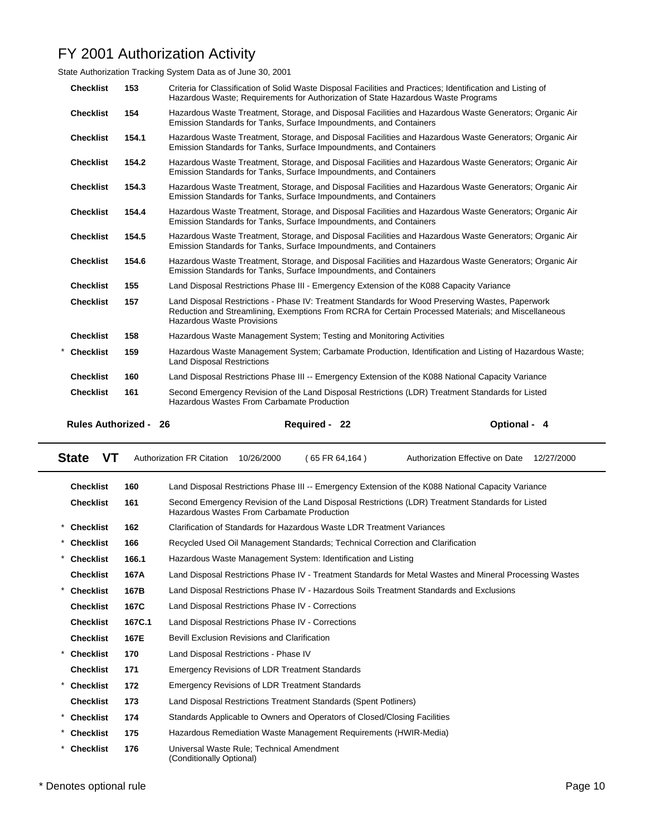State Authorization Tracking System Data as of June 30, 2001

| <b>Checklist</b>             | 153   | Criteria for Classification of Solid Waste Disposal Facilities and Practices; Identification and Listing of<br>Hazardous Waste; Requirements for Authorization of State Hazardous Waste Programs                                             |              |
|------------------------------|-------|----------------------------------------------------------------------------------------------------------------------------------------------------------------------------------------------------------------------------------------------|--------------|
| <b>Checklist</b>             | 154   | Hazardous Waste Treatment, Storage, and Disposal Facilities and Hazardous Waste Generators; Organic Air<br>Emission Standards for Tanks, Surface Impoundments, and Containers                                                                |              |
| <b>Checklist</b>             | 154.1 | Hazardous Waste Treatment, Storage, and Disposal Facilities and Hazardous Waste Generators; Organic Air<br>Emission Standards for Tanks, Surface Impoundments, and Containers                                                                |              |
| <b>Checklist</b>             | 154.2 | Hazardous Waste Treatment, Storage, and Disposal Facilities and Hazardous Waste Generators; Organic Air<br>Emission Standards for Tanks, Surface Impoundments, and Containers                                                                |              |
| <b>Checklist</b>             | 154.3 | Hazardous Waste Treatment, Storage, and Disposal Facilities and Hazardous Waste Generators; Organic Air<br>Emission Standards for Tanks, Surface Impoundments, and Containers                                                                |              |
| <b>Checklist</b>             | 154.4 | Hazardous Waste Treatment, Storage, and Disposal Facilities and Hazardous Waste Generators; Organic Air<br>Emission Standards for Tanks, Surface Impoundments, and Containers                                                                |              |
| <b>Checklist</b>             | 154.5 | Hazardous Waste Treatment, Storage, and Disposal Facilities and Hazardous Waste Generators; Organic Air<br>Emission Standards for Tanks, Surface Impoundments, and Containers                                                                |              |
| <b>Checklist</b>             | 154.6 | Hazardous Waste Treatment, Storage, and Disposal Facilities and Hazardous Waste Generators; Organic Air<br>Emission Standards for Tanks, Surface Impoundments, and Containers                                                                |              |
| <b>Checklist</b>             | 155   | Land Disposal Restrictions Phase III - Emergency Extension of the K088 Capacity Variance                                                                                                                                                     |              |
| <b>Checklist</b>             | 157   | Land Disposal Restrictions - Phase IV: Treatment Standards for Wood Preserving Wastes, Paperwork<br>Reduction and Streamlining, Exemptions From RCRA for Certain Processed Materials; and Miscellaneous<br><b>Hazardous Waste Provisions</b> |              |
| <b>Checklist</b>             | 158   | Hazardous Waste Management System; Testing and Monitoring Activities                                                                                                                                                                         |              |
| <b>Checklist</b>             | 159   | Hazardous Waste Management System; Carbamate Production, Identification and Listing of Hazardous Waste;<br><b>Land Disposal Restrictions</b>                                                                                                 |              |
| <b>Checklist</b>             | 160   | Land Disposal Restrictions Phase III -- Emergency Extension of the K088 National Capacity Variance                                                                                                                                           |              |
| <b>Checklist</b>             | 161   | Second Emergency Revision of the Land Disposal Restrictions (LDR) Treatment Standards for Listed<br>Hazardous Wastes From Carbamate Production                                                                                               |              |
| <b>Rules Authorized - 26</b> |       | Required - 22                                                                                                                                                                                                                                | Optional - 4 |

| VT.<br><b>State</b>            |        | <b>Authorization FR Citation</b>                                                                                                               | 10/26/2000 | $(65$ FR 64.164)                                                          | Authorization Effective on Date                                                                          | 12/27/2000 |  |
|--------------------------------|--------|------------------------------------------------------------------------------------------------------------------------------------------------|------------|---------------------------------------------------------------------------|----------------------------------------------------------------------------------------------------------|------------|--|
| <b>Checklist</b>               | 160    |                                                                                                                                                |            |                                                                           | Land Disposal Restrictions Phase III -- Emergency Extension of the K088 National Capacity Variance       |            |  |
| <b>Checklist</b>               | 161    | Second Emergency Revision of the Land Disposal Restrictions (LDR) Treatment Standards for Listed<br>Hazardous Wastes From Carbamate Production |            |                                                                           |                                                                                                          |            |  |
| <b>Checklist</b><br>$^{\star}$ | 162    | Clarification of Standards for Hazardous Waste LDR Treatment Variances                                                                         |            |                                                                           |                                                                                                          |            |  |
| $\star$<br><b>Checklist</b>    | 166    |                                                                                                                                                |            |                                                                           | Recycled Used Oil Management Standards; Technical Correction and Clarification                           |            |  |
| <b>Checklist</b><br>*          | 166.1  |                                                                                                                                                |            | Hazardous Waste Management System: Identification and Listing             |                                                                                                          |            |  |
| <b>Checklist</b>               | 167A   |                                                                                                                                                |            |                                                                           | Land Disposal Restrictions Phase IV - Treatment Standards for Metal Wastes and Mineral Processing Wastes |            |  |
| <b>Checklist</b>               | 167B   | Land Disposal Restrictions Phase IV - Hazardous Soils Treatment Standards and Exclusions                                                       |            |                                                                           |                                                                                                          |            |  |
| <b>Checklist</b>               | 167C   |                                                                                                                                                |            | Land Disposal Restrictions Phase IV - Corrections                         |                                                                                                          |            |  |
| <b>Checklist</b>               | 167C.1 | Land Disposal Restrictions Phase IV - Corrections                                                                                              |            |                                                                           |                                                                                                          |            |  |
| <b>Checklist</b>               | 167E   | <b>Bevill Exclusion Revisions and Clarification</b>                                                                                            |            |                                                                           |                                                                                                          |            |  |
| <b>Checklist</b>               | 170    | Land Disposal Restrictions - Phase IV                                                                                                          |            |                                                                           |                                                                                                          |            |  |
| <b>Checklist</b>               | 171    |                                                                                                                                                |            | <b>Emergency Revisions of LDR Treatment Standards</b>                     |                                                                                                          |            |  |
| <b>Checklist</b>               | 172    |                                                                                                                                                |            | <b>Emergency Revisions of LDR Treatment Standards</b>                     |                                                                                                          |            |  |
| <b>Checklist</b>               | 173    |                                                                                                                                                |            | Land Disposal Restrictions Treatment Standards (Spent Potliners)          |                                                                                                          |            |  |
| $\ast$<br><b>Checklist</b>     | 174    |                                                                                                                                                |            | Standards Applicable to Owners and Operators of Closed/Closing Facilities |                                                                                                          |            |  |
| $^{\star}$<br><b>Checklist</b> | 175    |                                                                                                                                                |            | Hazardous Remediation Waste Management Requirements (HWIR-Media)          |                                                                                                          |            |  |
| <b>Checklist</b>               | 176    | Universal Waste Rule: Technical Amendment<br>(Conditionally Optional)                                                                          |            |                                                                           |                                                                                                          |            |  |